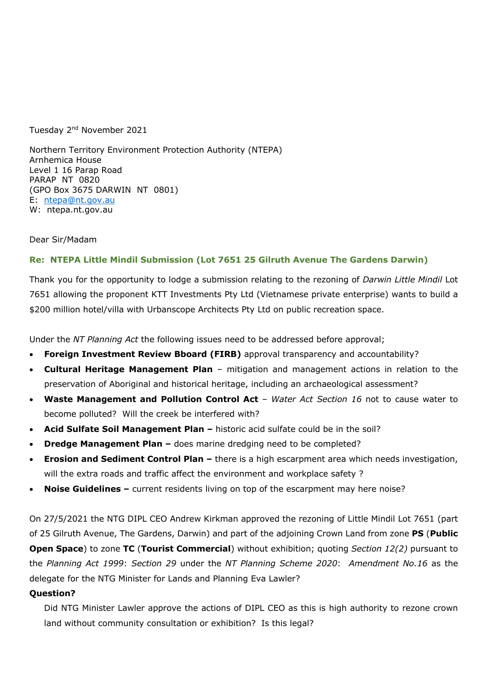Tuesday 2<sup>nd</sup> November 2021

Northern Territory Environment Protection Authority (NTEPA) Arnhemica House Level 1 16 Parap Road PARAP NT 0820 (GPO Box 3675 DARWIN NT 0801) E: ntepa@nt.gov.au W: ntepa.nt.gov.au

Dear Sir/Madam

# **Re: NTEPA Little Mindil Submission (Lot 7651 25 Gilruth Avenue The Gardens Darwin)**

Thank you for the opportunity to lodge a submission relating to the rezoning of *Darwin Little Mindil* Lot 7651 allowing the proponent KTT Investments Pty Ltd (Vietnamese private enterprise) wants to build a \$200 million hotel/villa with Urbanscope Architects Pty Ltd on public recreation space.

Under the *NT Planning Act* the following issues need to be addressed before approval;

- **Foreign Investment Review Bboard (FIRB)** approval transparency and accountability?
- **Cultural Heritage Management Plan** mitigation and management actions in relation to the preservation of Aboriginal and historical heritage, including an archaeological assessment?
- **Waste Management and Pollution Control Act**  *Water Act Section 16* not to cause water to become polluted? Will the creek be interfered with?
- **Acid Sulfate Soil Management Plan** historic acid sulfate could be in the soil?
- **Dredge Management Plan –** does marine dredging need to be completed?
- **Erosion and Sediment Control Plan –** there is a high escarpment area which needs investigation, will the extra roads and traffic affect the environment and workplace safety ?
- **Noise Guidelines –** current residents living on top of the escarpment may here noise?

On 27/5/2021 the NTG DIPL CEO Andrew Kirkman approved the rezoning of Little Mindil Lot 7651 (part of 25 Gilruth Avenue, The Gardens, Darwin) and part of the adjoining Crown Land from zone **PS** (**Public Open Space**) to zone **TC** (**Tourist Commercial**) without exhibition; quoting *Section 12(2)* pursuant to the *Planning Act 1999*: *Section 29* under the *NT Planning Scheme 2020*: *Amendment No.16* as the delegate for the NTG Minister for Lands and Planning Eva Lawler?

### **Question?**

Did NTG Minister Lawler approve the actions of DIPL CEO as this is high authority to rezone crown land without community consultation or exhibition? Is this legal?